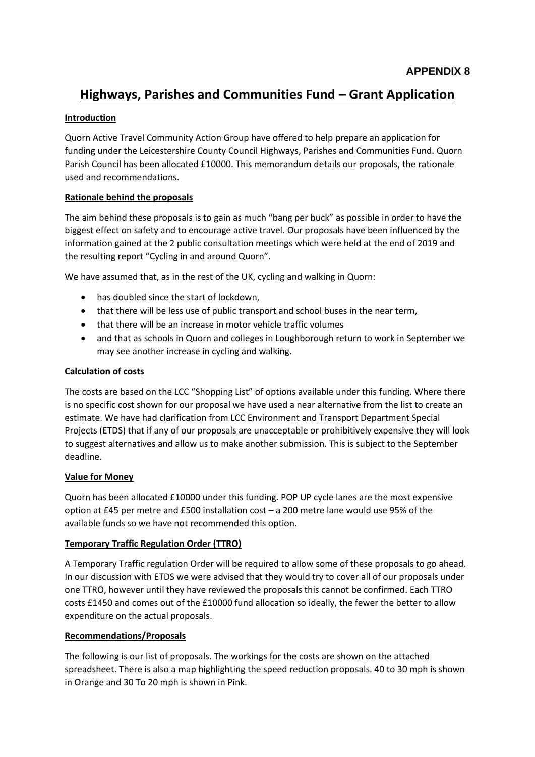# **Highways, Parishes and Communities Fund – Grant Application**

# **Introduction**

Quorn Active Travel Community Action Group have offered to help prepare an application for funding under the Leicestershire County Council Highways, Parishes and Communities Fund. Quorn Parish Council has been allocated £10000. This memorandum details our proposals, the rationale used and recommendations.

# **Rationale behind the proposals**

The aim behind these proposals is to gain as much "bang per buck" as possible in order to have the biggest effect on safety and to encourage active travel. Our proposals have been influenced by the information gained at the 2 public consultation meetings which were held at the end of 2019 and the resulting report "Cycling in and around Quorn".

We have assumed that, as in the rest of the UK, cycling and walking in Quorn:

- has doubled since the start of lockdown,
- that there will be less use of public transport and school buses in the near term,
- that there will be an increase in motor vehicle traffic volumes
- and that as schools in Quorn and colleges in Loughborough return to work in September we may see another increase in cycling and walking.

# **Calculation of costs**

The costs are based on the LCC "Shopping List" of options available under this funding. Where there is no specific cost shown for our proposal we have used a near alternative from the list to create an estimate. We have had clarification from LCC Environment and Transport Department Special Projects (ETDS) that if any of our proposals are unacceptable or prohibitively expensive they will look to suggest alternatives and allow us to make another submission. This is subject to the September deadline.

# **Value for Money**

Quorn has been allocated £10000 under this funding. POP UP cycle lanes are the most expensive option at £45 per metre and £500 installation cost – a 200 metre lane would use 95% of the available funds so we have not recommended this option.

# **Temporary Traffic Regulation Order (TTRO)**

A Temporary Traffic regulation Order will be required to allow some of these proposals to go ahead. In our discussion with ETDS we were advised that they would try to cover all of our proposals under one TTRO, however until they have reviewed the proposals this cannot be confirmed. Each TTRO costs £1450 and comes out of the £10000 fund allocation so ideally, the fewer the better to allow expenditure on the actual proposals.

# **Recommendations/Proposals**

The following is our list of proposals. The workings for the costs are shown on the attached spreadsheet. There is also a map highlighting the speed reduction proposals. 40 to 30 mph is shown in Orange and 30 To 20 mph is shown in Pink.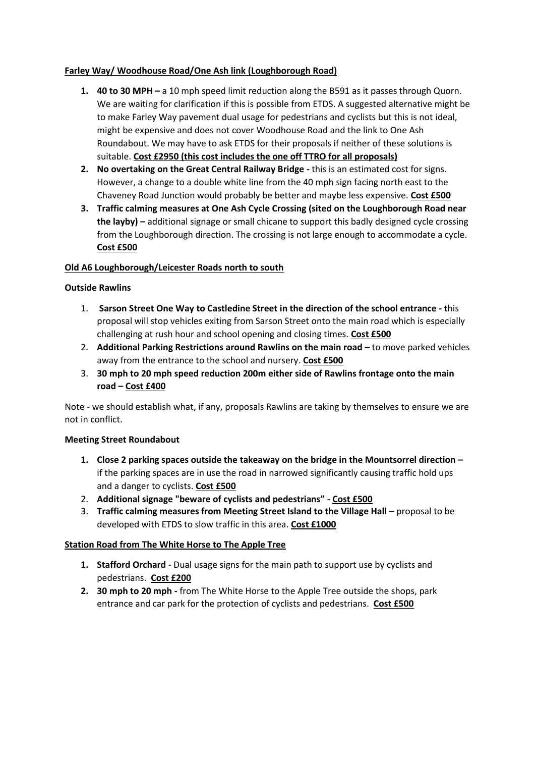# **Farley Way/ Woodhouse Road/One Ash link (Loughborough Road)**

- **1. 40 to 30 MPH –** a 10 mph speed limit reduction along the B591 as it passes through Quorn. We are waiting for clarification if this is possible from ETDS. A suggested alternative might be to make Farley Way pavement dual usage for pedestrians and cyclists but this is not ideal, might be expensive and does not cover Woodhouse Road and the link to One Ash Roundabout. We may have to ask ETDS for their proposals if neither of these solutions is suitable. **Cost £2950 (this cost includes the one off TTRO for all proposals)**
- **2. No overtaking on the Great Central Railway Bridge -** this is an estimated cost for signs. However, a change to a double white line from the 40 mph sign facing north east to the Chaveney Road Junction would probably be better and maybe less expensive. **Cost £500**
- **3. Traffic calming measures at One Ash Cycle Crossing (sited on the Loughborough Road near the layby) –** additional signage or small chicane to support this badly designed cycle crossing from the Loughborough direction. The crossing is not large enough to accommodate a cycle. **Cost £500**

#### **Old A6 Loughborough/Leicester Roads north to south**

#### **Outside Rawlins**

- 1. **Sarson Street One Way to Castledine Street in the direction of the school entrance - t**his proposal will stop vehicles exiting from Sarson Street onto the main road which is especially challenging at rush hour and school opening and closing times. **Cost £500**
- 2. **Additional Parking Restrictions around Rawlins on the main road –** to move parked vehicles away from the entrance to the school and nursery. **Cost £500**
- 3. **30 mph to 20 mph speed reduction 200m either side of Rawlins frontage onto the main road – Cost £400**

Note - we should establish what, if any, proposals Rawlins are taking by themselves to ensure we are not in conflict.

#### **Meeting Street Roundabout**

- **1. Close 2 parking spaces outside the takeaway on the bridge in the Mountsorrel direction –** if the parking spaces are in use the road in narrowed significantly causing traffic hold ups and a danger to cyclists. **Cost £500**
- 2. **Additional signage "beware of cyclists and pedestrians" - Cost £500**
- 3. **Traffic calming measures from Meeting Street Island to the Village Hall –** proposal to be developed with ETDS to slow traffic in this area. **Cost £1000**

# **Station Road from The White Horse to The Apple Tree**

- **1. Stafford Orchard** Dual usage signs for the main path to support use by cyclists and pedestrians. **Cost £200**
- **2. 30 mph to 20 mph -** from The White Horse to the Apple Tree outside the shops, park entrance and car park for the protection of cyclists and pedestrians. **Cost £500**